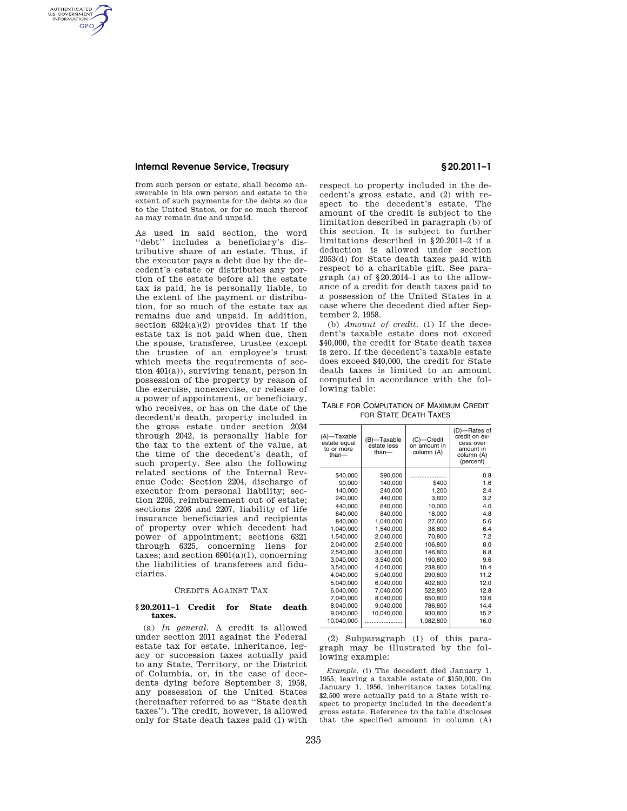# **Internal Revenue Service, Treasury § 20.2011–1**

AUTHENTICATED<br>U.S. GOVERNMENT<br>INFORMATION GPO

> from such person or estate, shall become answerable in his own person and estate to the extent of such payments for the debts so due to the United States, or for so much thereof as may remain due and unpaid.

> As used in said section, the word "debt" includes a beneficiary's distributive share of an estate. Thus, if the executor pays a debt due by the decedent's estate or distributes any portion of the estate before all the estate tax is paid, he is personally liable, to the extent of the payment or distribution, for so much of the estate tax as remains due and unpaid. In addition, section  $6324(a)(2)$  provides that if the estate tax is not paid when due, then the spouse, transferee, trustee (except the trustee of an employee's trust which meets the requirements of section 401(a)), surviving tenant, person in possession of the property by reason of the exercise, nonexercise, or release of a power of appointment, or beneficiary, who receives, or has on the date of the decedent's death, property included in the gross estate under section 2034 through 2042, is personally liable for the tax to the extent of the value, at the time of the decedent's death, of such property. See also the following related sections of the Internal Revenue Code: Section 2204, discharge of executor from personal liability; section 2205, reimbursement out of estate; sections 2206 and 2207, liability of life insurance beneficiaries and recipients of property over which decedent had power of appointment; sections 6321 through 6325, concerning liens for taxes; and section  $6901(a)(1)$ , concerning the liabilities of transferees and fiduciaries.

#### CREDITS AGAINST TAX

### **§ 20.2011–1 Credit for State death taxes.**

(a) *In general.* A credit is allowed under section 2011 against the Federal estate tax for estate, inheritance, legacy or succession taxes actually paid to any State, Territory, or the District of Columbia, or, in the case of decedents dying before September 3, 1958, any possession of the United States (hereinafter referred to as ''State death taxes''). The credit, however, is allowed only for State death taxes paid (1) with

respect to property included in the decedent's gross estate, and (2) with respect to the decedent's estate. The amount of the credit is subject to the limitation described in paragraph (b) of this section. It is subject to further limitations described in §20.2011–2 if a deduction is allowed under section 2053(d) for State death taxes paid with respect to a charitable gift. See paragraph (a) of §20.2014–1 as to the allowance of a credit for death taxes paid to a possession of the United States in a case where the decedent died after September 2, 1958.

(b) *Amount of credit.* (1) If the decedent's taxable estate does not exceed \$40,000, the credit for State death taxes is zero. If the decedent's taxable estate does exceed \$40,000, the credit for State death taxes is limited to an amount computed in accordance with the following table:

TABLE FOR COMPUTATION OF MAXIMUM CREDIT FOR STATE DEATH TAXES

| (A)-Taxable<br>estate equal<br>to or more<br>than- | (B)-Taxable<br>estate less<br>than $-$ | (C)-Credit<br>on amount in<br>column (A) | (D)-<br>--Rates of<br>credit on ex-<br>cess over<br>amount in<br>column (A)<br>(percent) |
|----------------------------------------------------|----------------------------------------|------------------------------------------|------------------------------------------------------------------------------------------|
| \$40,000                                           | \$90,000                               |                                          | 0.8                                                                                      |
| 90,000                                             | 140,000                                | \$400                                    | 1.6                                                                                      |
| 140,000                                            | 240,000                                | 1,200                                    | 2.4                                                                                      |
| 240,000                                            | 440,000                                | 3,600                                    | 3.2                                                                                      |
| 440,000                                            | 640,000                                | 10,000                                   | 4.0                                                                                      |
| 640,000                                            | 840,000                                | 18,000                                   | 4.8                                                                                      |
| 840,000                                            | 1,040,000                              | 27.600                                   | 5.6                                                                                      |
| 1.040.000                                          | 1,540,000                              | 38,800                                   | 6.4                                                                                      |
| 1,540,000                                          | 2,040,000                              | 70,800                                   | 7.2                                                                                      |
| 2,040,000                                          | 2,540,000                              | 106,800                                  | 8.0                                                                                      |
| 2,540,000                                          | 3,040,000                              | 146,800                                  | 8.8                                                                                      |
| 3,040,000                                          | 3,540,000                              | 190,800                                  | 9.6                                                                                      |
| 3,540,000                                          | 4,040,000                              | 238,800                                  | 10.4                                                                                     |
| 4,040,000                                          | 5,040,000                              | 290,800                                  | 11.2                                                                                     |
| 5,040,000                                          | 6,040,000                              | 402,800                                  | 12.0                                                                                     |
| 6,040,000                                          | 7,040,000                              | 522,800                                  | 12.8                                                                                     |
| 7,040,000                                          | 8,040,000                              | 650,800                                  | 13.6                                                                                     |
| 8,040,000                                          | 9,040,000                              | 786,800                                  | 14.4                                                                                     |
| 9,040,000                                          | 10,040,000                             | 930,800                                  | 15.2                                                                                     |
| 10,040,000                                         |                                        | 1,082,800                                | 16.0                                                                                     |

(2) Subparagraph (1) of this paragraph may be illustrated by the following example:

*Example.* (i) The decedent died January 1, 1955, leaving a taxable estate of \$150,000. On January 1, 1956, inheritance taxes totaling \$2,500 were actually paid to a State with respect to property included in the decedent's gross estate. Reference to the table discloses that the specified amount in column (A)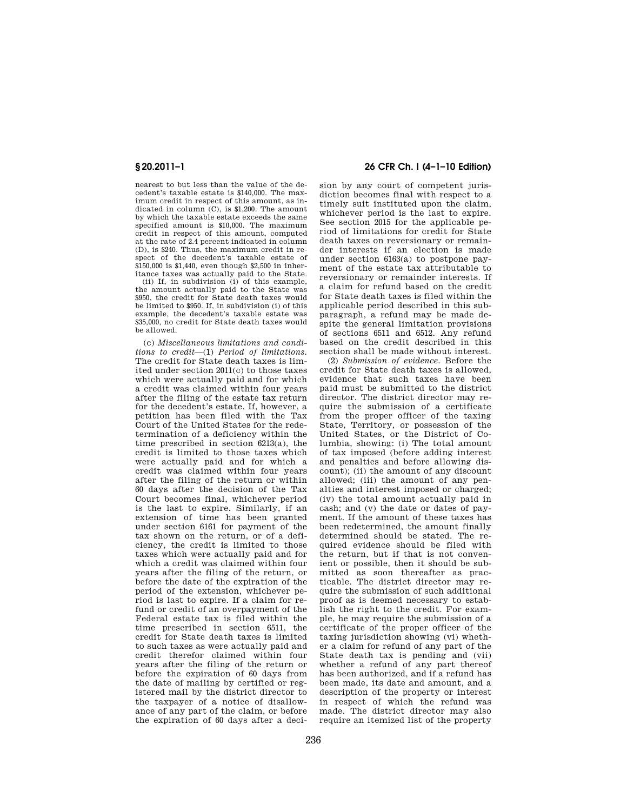nearest to but less than the value of the decedent's taxable estate is \$140,000. The maximum credit in respect of this amount, as indicated in column (C), is \$1,200. The amount by which the taxable estate exceeds the same specified amount is \$10,000. The maximum credit in respect of this amount, computed at the rate of 2.4 percent indicated in column (D), is \$240. Thus, the maximum credit in respect of the decedent's taxable estate of \$150,000 is \$1,440, even though \$2,500 in inheritance taxes was actually paid to the State.

(ii) If, in subdivision (i) of this example, the amount actually paid to the State was \$950, the credit for State death taxes would be limited to \$950. If, in subdivision (i) of this example, the decedent's taxable estate was \$35,000, no credit for State death taxes would be allowed.

(c) *Miscellaneous limitations and conditions to credit*—(1) *Period of limitations.*  The credit for State death taxes is limited under section 2011(c) to those taxes which were actually paid and for which a credit was claimed within four years after the filing of the estate tax return for the decedent's estate. If, however, a petition has been filed with the Tax Court of the United States for the redetermination of a deficiency within the time prescribed in section 6213(a), the credit is limited to those taxes which were actually paid and for which a credit was claimed within four years after the filing of the return or within 60 days after the decision of the Tax Court becomes final, whichever period is the last to expire. Similarly, if an extension of time has been granted under section 6161 for payment of the tax shown on the return, or of a deficiency, the credit is limited to those taxes which were actually paid and for which a credit was claimed within four years after the filing of the return, or before the date of the expiration of the period of the extension, whichever period is last to expire. If a claim for refund or credit of an overpayment of the Federal estate tax is filed within the time prescribed in section 6511, the credit for State death taxes is limited to such taxes as were actually paid and credit therefor claimed within four years after the filing of the return or before the expiration of 60 days from the date of mailing by certified or registered mail by the district director to the taxpayer of a notice of disallowance of any part of the claim, or before the expiration of 60 days after a deci-

# **§ 20.2011–1 26 CFR Ch. I (4–1–10 Edition)**

sion by any court of competent jurisdiction becomes final with respect to a timely suit instituted upon the claim, whichever period is the last to expire. See section 2015 for the applicable period of limitations for credit for State death taxes on reversionary or remainder interests if an election is made under section 6163(a) to postpone payment of the estate tax attributable to reversionary or remainder interests. If a claim for refund based on the credit for State death taxes is filed within the applicable period described in this subparagraph, a refund may be made despite the general limitation provisions of sections 6511 and 6512. Any refund based on the credit described in this section shall be made without interest.

(2) *Submission of evidence.* Before the credit for State death taxes is allowed, evidence that such taxes have been paid must be submitted to the district director. The district director may require the submission of a certificate from the proper officer of the taxing State, Territory, or possession of the United States, or the District of Columbia, showing: (i) The total amount of tax imposed (before adding interest and penalties and before allowing discount); (ii) the amount of any discount allowed; (iii) the amount of any penalties and interest imposed or charged; (iv) the total amount actually paid in cash; and (v) the date or dates of payment. If the amount of these taxes has been redetermined, the amount finally determined should be stated. The required evidence should be filed with the return, but if that is not convenient or possible, then it should be submitted as soon thereafter as practicable. The district director may require the submission of such additional proof as is deemed necessary to establish the right to the credit. For example, he may require the submission of a certificate of the proper officer of the taxing jurisdiction showing (vi) whether a claim for refund of any part of the State death tax is pending and (vii) whether a refund of any part thereof has been authorized, and if a refund has been made, its date and amount, and a description of the property or interest in respect of which the refund was made. The district director may also require an itemized list of the property